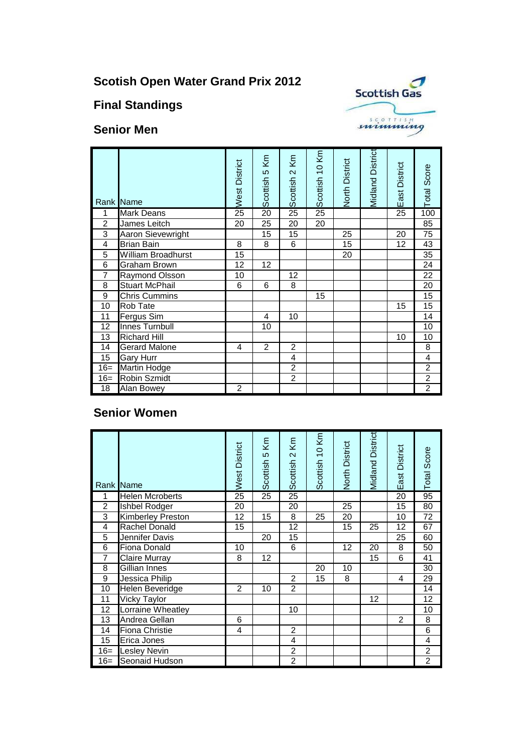# **Scotish Open Water Grand Prix 2012**





#### **Senior Men**

|                 | Rank Name                 | West District | Scottish 5 Km   | Scottish 2 Km   | Scottish 10 Km | North District | <b>Midland District</b> | East District | Total Score     |
|-----------------|---------------------------|---------------|-----------------|-----------------|----------------|----------------|-------------------------|---------------|-----------------|
| 1               | <b>Mark Deans</b>         | 25            | $\overline{20}$ | $\overline{25}$ | 25             |                |                         | 25            | 100             |
| $\overline{2}$  | James Leitch              | 20            | 25              | 20              | 20             |                |                         |               | 85              |
| 3               | <b>Aaron Sievewright</b>  |               | 15              | 15              |                | 25             |                         | 20            | 75              |
| 4               | <b>Brian Bain</b>         | 8             | 8               | 6               |                | 15             |                         | 12            | 43              |
| $\overline{5}$  | <b>William Broadhurst</b> | 15            |                 |                 |                | 20             |                         |               | 35              |
| $\overline{6}$  | <b>Graham Brown</b>       | 12            | 12              |                 |                |                |                         |               | 24              |
| $\overline{7}$  | Raymond Olsson            | 10            |                 | 12              |                |                |                         |               | 22              |
| $\overline{8}$  | <b>Stuart McPhail</b>     | 6             | 6               | 8               |                |                |                         |               | $\overline{20}$ |
| $\overline{9}$  | <b>Chris Cummins</b>      |               |                 |                 | 15             |                |                         |               | 15              |
| 10              | <b>Rob Tate</b>           |               |                 |                 |                |                |                         | 15            | 15              |
| 11              | Fergus Sim                |               | 4               | 10              |                |                |                         |               | 14              |
| 12              | Innes Turnbull            |               | 10              |                 |                |                |                         |               | 10              |
| $\overline{13}$ | <b>Richard Hill</b>       |               |                 |                 |                |                |                         | 10            | 10              |
| 14              | <b>Gerard Malone</b>      | 4             | $\overline{2}$  | $\overline{2}$  |                |                |                         |               | 8               |
| 15              | <b>Gary Hurr</b>          |               |                 | 4               |                |                |                         |               | 4               |
| $16=$           | <b>Martin Hodge</b>       |               |                 | $\overline{2}$  |                |                |                         |               | $\overline{2}$  |
| $16=$           | <b>Robin Szmidt</b>       |               |                 | $\overline{2}$  |                |                |                         |               | $\overline{2}$  |
| 18              | Alan Bowey                | 2             |                 |                 |                |                |                         |               | $\overline{c}$  |

### **Senior Women**

|                | Rank Name                | West District   | Κm<br>Scottish 5 | Κm<br>Scottish <sub>2</sub> | Scottish 10 Km | North District  | <b>Midland District</b> | East District  | Total Score     |
|----------------|--------------------------|-----------------|------------------|-----------------------------|----------------|-----------------|-------------------------|----------------|-----------------|
| 1              | <b>Helen Mcroberts</b>   | $\overline{25}$ | $\overline{25}$  | $\overline{25}$             |                |                 |                         | 20             | 95              |
| $\overline{2}$ | Ishbel Rodger            | 20              |                  | 20                          |                | $\overline{25}$ |                         | 15             | $\overline{80}$ |
| 3              | <b>Kimberley Preston</b> | 12              | 15               | $\overline{8}$              | 25             | 20              |                         | 10             | $\overline{72}$ |
| 4              | <b>Rachel Donald</b>     | 15              |                  | 12                          |                | 15              | 25                      | 12             | 67              |
| 5              | Jennifer Davis           |                 | 20               | 15                          |                |                 |                         | 25             | 60              |
| 6              | Fiona Donald             | 10              |                  | 6                           |                | 12              | 20                      | 8              | 50              |
| $\overline{7}$ | <b>Claire Murray</b>     | 8               | 12               |                             |                |                 | 15                      | 6              | 41              |
| 8              | Gillian Innes            |                 |                  |                             | 20             | 10              |                         |                | 30              |
| 9              | Jessica Philip           |                 |                  | $\overline{2}$              | 15             | 8               |                         | 4              | 29              |
| 10             | <b>Helen Beveridge</b>   | 2               | 10               | $\overline{2}$              |                |                 |                         |                | $\overline{14}$ |
| 11             | Vicky Taylor             |                 |                  |                             |                |                 | 12                      |                | 12              |
| 12             | Lorraine Wheatley        |                 |                  | 10                          |                |                 |                         |                | 10              |
| 13             | Andrea Gellan            | 6               |                  |                             |                |                 |                         | $\overline{2}$ | 8               |
| 14             | <b>Fiona Christie</b>    | 4               |                  | $\overline{2}$              |                |                 |                         |                | $\overline{6}$  |
| 15             | Erica Jones              |                 |                  | 4                           |                |                 |                         |                | 4               |
| $16=$          | Lesley Nevin             |                 |                  | $\overline{2}$              |                |                 |                         |                | $\overline{2}$  |
| $16 =$         | Seonaid Hudson           |                 |                  | $\overline{2}$              |                |                 |                         |                | $\overline{2}$  |